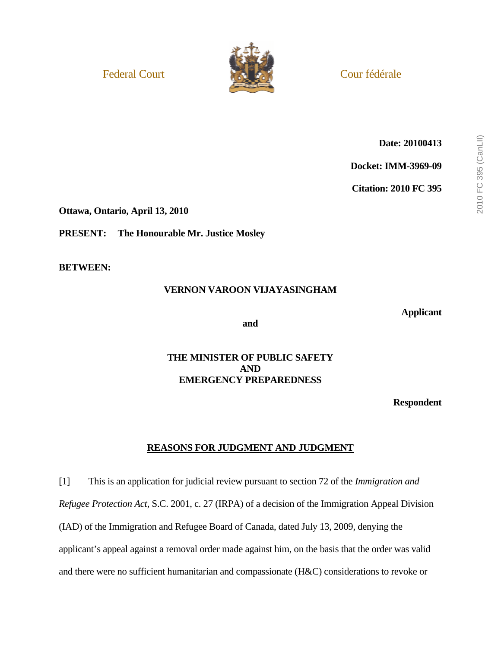

**Date: 20100413** 

**Docket: IMM-3969-09** 

**Citation: 2010 FC 395** 

**Ottawa, Ontario, April 13, 2010** 

**PRESENT: The Honourable Mr. Justice Mosley** 

**BETWEEN:** 

# **VERNON VAROON VIJAYASINGHAM**

**Applicant** 

**and** 

## **THE MINISTER OF PUBLIC SAFETY AND EMERGENCY PREPAREDNESS**

**Respondent** 

# **REASONS FOR JUDGMENT AND JUDGMENT**

[1] This is an application for judicial review pursuant to section 72 of the *Immigration and Refugee Protection Act*, S.C. 2001, c. 27 (IRPA) of a decision of the Immigration Appeal Division (IAD) of the Immigration and Refugee Board of Canada, dated July 13, 2009, denying the applicant's appeal against a removal order made against him, on the basis that the order was valid and there were no sufficient humanitarian and compassionate (H&C) considerations to revoke or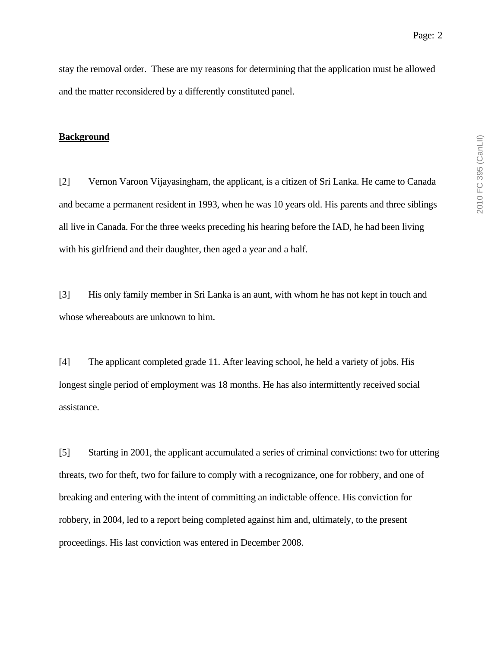stay the removal order. These are my reasons for determining that the application must be allowed and the matter reconsidered by a differently constituted panel.

#### **Background**

[2] Vernon Varoon Vijayasingham, the applicant, is a citizen of Sri Lanka. He came to Canada and became a permanent resident in 1993, when he was 10 years old. His parents and three siblings all live in Canada. For the three weeks preceding his hearing before the IAD, he had been living with his girlfriend and their daughter, then aged a year and a half.

[3] His only family member in Sri Lanka is an aunt, with whom he has not kept in touch and whose whereabouts are unknown to him.

[4] The applicant completed grade 11. After leaving school, he held a variety of jobs. His longest single period of employment was 18 months. He has also intermittently received social assistance.

[5] Starting in 2001, the applicant accumulated a series of criminal convictions: two for uttering threats, two for theft, two for failure to comply with a recognizance, one for robbery, and one of breaking and entering with the intent of committing an indictable offence. His conviction for robbery, in 2004, led to a report being completed against him and, ultimately, to the present proceedings. His last conviction was entered in December 2008.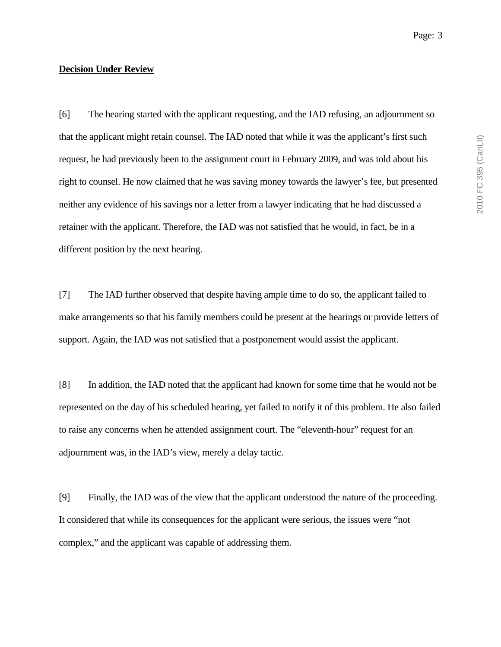[6] The hearing started with the applicant requesting, and the IAD refusing, an adjournment so that the applicant might retain counsel. The IAD noted that while it was the applicant's first such request, he had previously been to the assignment court in February 2009, and was told about his right to counsel. He now claimed that he was saving money towards the lawyer's fee, but presented neither any evidence of his savings nor a letter from a lawyer indicating that he had discussed a retainer with the applicant. Therefore, the IAD was not satisfied that he would, in fact, be in a different position by the next hearing.

[7] The IAD further observed that despite having ample time to do so, the applicant failed to make arrangements so that his family members could be present at the hearings or provide letters of support. Again, the IAD was not satisfied that a postponement would assist the applicant.

[8] In addition, the IAD noted that the applicant had known for some time that he would not be represented on the day of his scheduled hearing, yet failed to notify it of this problem. He also failed to raise any concerns when he attended assignment court. The "eleventh-hour" request for an adjournment was, in the IAD's view, merely a delay tactic.

[9] Finally, the IAD was of the view that the applicant understood the nature of the proceeding. It considered that while its consequences for the applicant were serious, the issues were "not complex," and the applicant was capable of addressing them.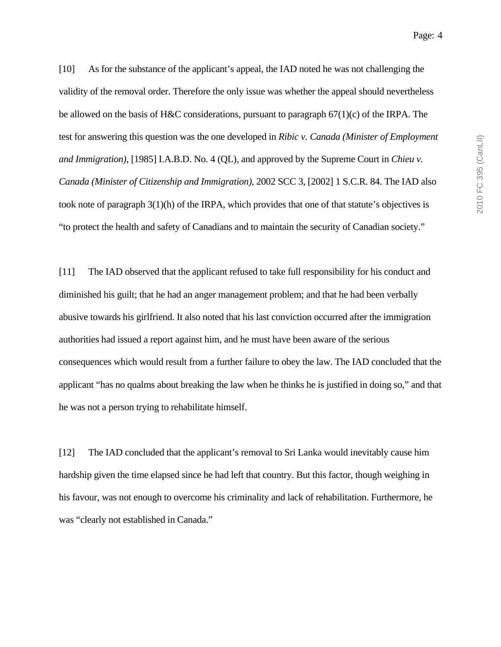2010 FC 395 (CanLII) 2010 FC 395 (CanLII)

[10] As for the substance of the applicant's appeal, the IAD noted he was not challenging the validity of the removal order. Therefore the only issue was whether the appeal should nevertheless be allowed on the basis of H&C considerations, pursuant to paragraph  $67(1)(c)$  of the IRPA. The test for answering this question was the one developed in *Ribic v. Canada (Minister of Employment and Immigration)*, [1985] I.A.B.D. No. 4 (QL), and approved by the Supreme Court in *Chieu v. Canada (Minister of Citizenship and Immigration)*, 2002 SCC 3, [2002] 1 S.C.R. 84. The IAD also took note of paragraph 3(1)(h) of the IRPA, which provides that one of that statute's objectives is "to protect the health and safety of Canadians and to maintain the security of Canadian society."

[11] The IAD observed that the applicant refused to take full responsibility for his conduct and diminished his guilt; that he had an anger management problem; and that he had been verbally abusive towards his girlfriend. It also noted that his last conviction occurred after the immigration authorities had issued a report against him, and he must have been aware of the serious consequences which would result from a further failure to obey the law. The IAD concluded that the applicant "has no qualms about breaking the law when he thinks he is justified in doing so," and that he was not a person trying to rehabilitate himself.

[12] The IAD concluded that the applicant's removal to Sri Lanka would inevitably cause him hardship given the time elapsed since he had left that country. But this factor, though weighing in his favour, was not enough to overcome his criminality and lack of rehabilitation. Furthermore, he was "clearly not established in Canada."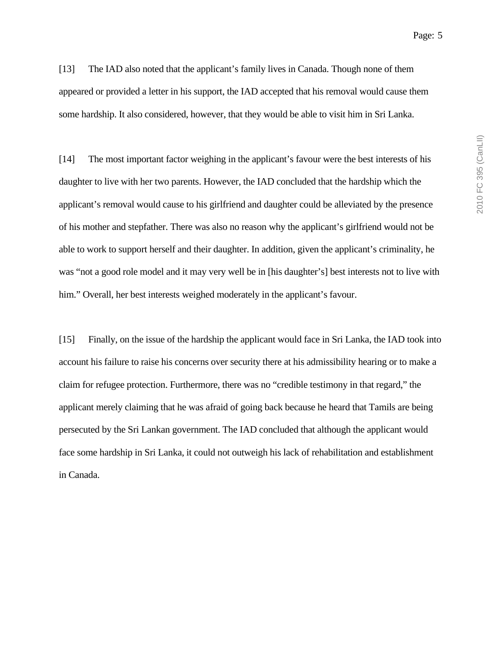[13] The IAD also noted that the applicant's family lives in Canada. Though none of them appeared or provided a letter in his support, the IAD accepted that his removal would cause them some hardship. It also considered, however, that they would be able to visit him in Sri Lanka.

[14] The most important factor weighing in the applicant's favour were the best interests of his daughter to live with her two parents. However, the IAD concluded that the hardship which the applicant's removal would cause to his girlfriend and daughter could be alleviated by the presence of his mother and stepfather. There was also no reason why the applicant's girlfriend would not be able to work to support herself and their daughter. In addition, given the applicant's criminality, he was "not a good role model and it may very well be in [his daughter's] best interests not to live with him." Overall, her best interests weighed moderately in the applicant's favour.

[15] Finally, on the issue of the hardship the applicant would face in Sri Lanka, the IAD took into account his failure to raise his concerns over security there at his admissibility hearing or to make a claim for refugee protection. Furthermore, there was no "credible testimony in that regard," the applicant merely claiming that he was afraid of going back because he heard that Tamils are being persecuted by the Sri Lankan government. The IAD concluded that although the applicant would face some hardship in Sri Lanka, it could not outweigh his lack of rehabilitation and establishment in Canada.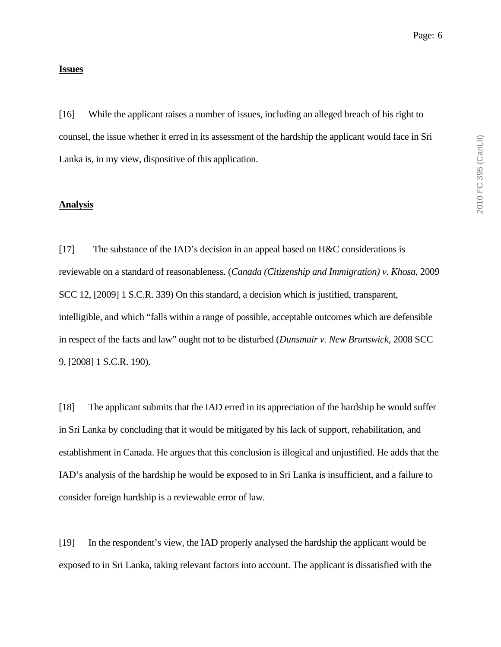#### **Issues**

[16] While the applicant raises a number of issues, including an alleged breach of his right to counsel, the issue whether it erred in its assessment of the hardship the applicant would face in Sri Lanka is, in my view, dispositive of this application.

#### **Analysis**

[17] The substance of the IAD's decision in an appeal based on H&C considerations is reviewable on a standard of reasonableness. (*Canada (Citizenship and Immigration) v. Khosa*, 2009 SCC 12, [2009] 1 S.C.R. 339) On this standard, a decision which is justified, transparent, intelligible, and which "falls within a range of possible, acceptable outcomes which are defensible in respect of the facts and law" ought not to be disturbed (*Dunsmuir v. New Brunswick*, 2008 SCC 9, [2008] 1 S.C.R. 190).

[18] The applicant submits that the IAD erred in its appreciation of the hardship he would suffer in Sri Lanka by concluding that it would be mitigated by his lack of support, rehabilitation, and establishment in Canada. He argues that this conclusion is illogical and unjustified. He adds that the IAD's analysis of the hardship he would be exposed to in Sri Lanka is insufficient, and a failure to consider foreign hardship is a reviewable error of law.

[19] In the respondent's view, the IAD properly analysed the hardship the applicant would be exposed to in Sri Lanka, taking relevant factors into account. The applicant is dissatisfied with the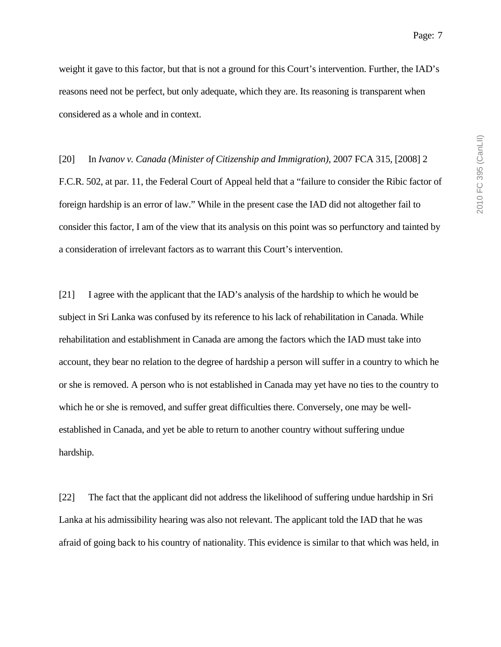weight it gave to this factor, but that is not a ground for this Court's intervention. Further, the IAD's reasons need not be perfect, but only adequate, which they are. Its reasoning is transparent when considered as a whole and in context.

[20] In *Ivanov v. Canada (Minister of Citizenship and Immigration)*, 2007 FCA 315, [2008] 2 F.C.R. 502, at par. 11, the Federal Court of Appeal held that a "failure to consider the Ribic factor of foreign hardship is an error of law." While in the present case the IAD did not altogether fail to consider this factor, I am of the view that its analysis on this point was so perfunctory and tainted by a consideration of irrelevant factors as to warrant this Court's intervention.

[21] I agree with the applicant that the IAD's analysis of the hardship to which he would be subject in Sri Lanka was confused by its reference to his lack of rehabilitation in Canada. While rehabilitation and establishment in Canada are among the factors which the IAD must take into account, they bear no relation to the degree of hardship a person will suffer in a country to which he or she is removed. A person who is not established in Canada may yet have no ties to the country to which he or she is removed, and suffer great difficulties there. Conversely, one may be wellestablished in Canada, and yet be able to return to another country without suffering undue hardship.

[22] The fact that the applicant did not address the likelihood of suffering undue hardship in Sri Lanka at his admissibility hearing was also not relevant. The applicant told the IAD that he was afraid of going back to his country of nationality. This evidence is similar to that which was held, in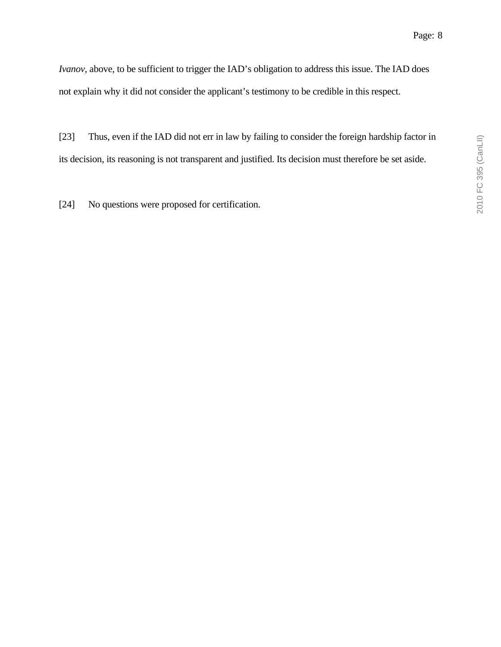*Ivanov*, above, to be sufficient to trigger the IAD's obligation to address this issue. The IAD does not explain why it did not consider the applicant's testimony to be credible in this respect.

[23] Thus, even if the IAD did not err in law by failing to consider the foreign hardship factor in its decision, its reasoning is not transparent and justified. Its decision must therefore be set aside.

[24] No questions were proposed for certification.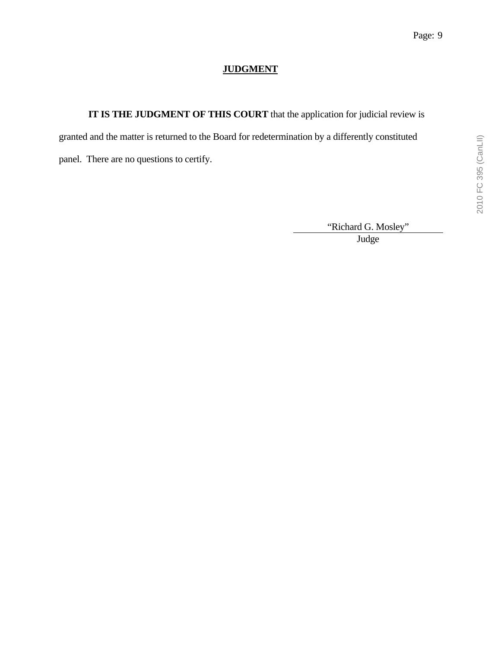# **JUDGMENT**

**IT IS THE JUDGMENT OF THIS COURT** that the application for judicial review is

granted and the matter is returned to the Board for redetermination by a differently constituted

panel. There are no questions to certify.

"Richard G. Mosley" Judge